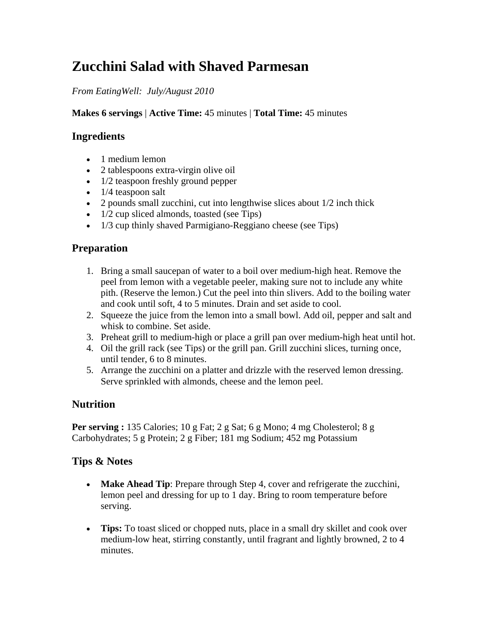# **Zucchini Salad with Shaved Parmesan**

#### *From EatingWell: July/August 2010*

**Makes 6 servings** | **Active Time:** 45 minutes | **Total Time:** 45 minutes

## **Ingredients**

- 1 medium lemon
- 2 tablespoons extra-virgin olive oil
- 1/2 teaspoon freshly ground pepper
- 1/4 teaspoon salt
- 2 pounds small zucchini, cut into lengthwise slices about  $1/2$  inch thick
- $\bullet$  1/2 cup sliced almonds, toasted (see Tips)
- 1/3 cup thinly shaved Parmigiano-Reggiano cheese (see Tips)

### **Preparation**

- 1. Bring a small saucepan of water to a boil over medium-high heat. Remove the peel from lemon with a vegetable peeler, making sure not to include any white pith. (Reserve the lemon.) Cut the peel into thin slivers. Add to the boiling water and cook until soft, 4 to 5 minutes. Drain and set aside to cool.
- 2. Squeeze the juice from the lemon into a small bowl. Add oil, pepper and salt and whisk to combine. Set aside.
- 3. Preheat grill to medium-high or place a grill pan over medium-high heat until hot.
- 4. Oil the grill rack (see Tips) or the grill pan. Grill zucchini slices, turning once, until tender, 6 to 8 minutes.
- 5. Arrange the zucchini on a platter and drizzle with the reserved lemon dressing. Serve sprinkled with almonds, cheese and the lemon peel.

# **Nutrition**

**Per serving :** 135 Calories; 10 g Fat; 2 g Sat; 6 g Mono; 4 mg Cholesterol; 8 g Carbohydrates; 5 g Protein; 2 g Fiber; 181 mg Sodium; 452 mg Potassium

#### **Tips & Notes**

- **Make Ahead Tip**: Prepare through Step 4, cover and refrigerate the zucchini, lemon peel and dressing for up to 1 day. Bring to room temperature before serving.
- **Tips:** To toast sliced or chopped nuts, place in a small dry skillet and cook over medium-low heat, stirring constantly, until fragrant and lightly browned, 2 to 4 minutes.